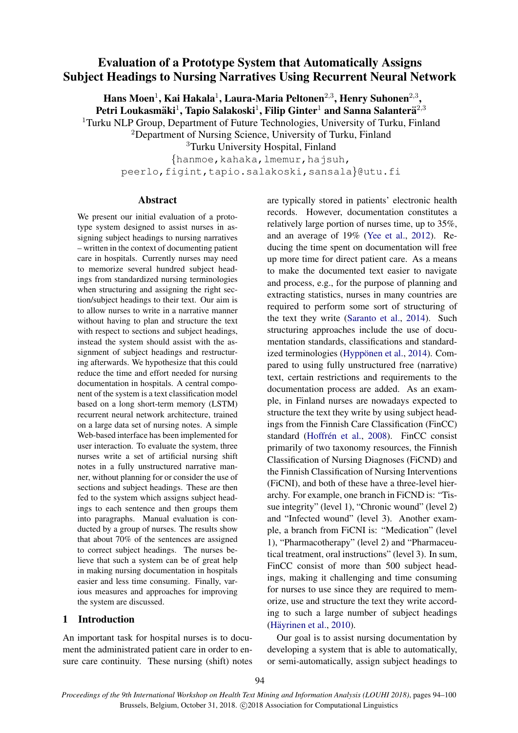# Evaluation of a Prototype System that Automatically Assigns Subject Headings to Nursing Narratives Using Recurrent Neural Network

Hans Moen $^1$ , Kai Hakala $^1$ , Laura-Maria Peltonen $^{2,3}$ , Henry Suhonen $^{2,3},$ Petri Loukasmäki $^1$ , Tapio Salakoski $^1$ , Filip Ginter $^1$  and Sanna Salanterä $^{2,3}$ <sup>1</sup>Turku NLP Group, Department of Future Technologies, University of Turku, Finland

<sup>2</sup>Department of Nursing Science, University of Turku, Finland

<sup>3</sup>Turku University Hospital, Finland

{hanmoe,kahaka,lmemur,hajsuh, peerlo, figint, tapio.salakoski, sansala}@utu.fi

### Abstract

We present our initial evaluation of a prototype system designed to assist nurses in assigning subject headings to nursing narratives – written in the context of documenting patient care in hospitals. Currently nurses may need to memorize several hundred subject headings from standardized nursing terminologies when structuring and assigning the right section/subject headings to their text. Our aim is to allow nurses to write in a narrative manner without having to plan and structure the text with respect to sections and subject headings, instead the system should assist with the assignment of subject headings and restructuring afterwards. We hypothesize that this could reduce the time and effort needed for nursing documentation in hospitals. A central component of the system is a text classification model based on a long short-term memory (LSTM) recurrent neural network architecture, trained on a large data set of nursing notes. A simple Web-based interface has been implemented for user interaction. To evaluate the system, three nurses write a set of artificial nursing shift notes in a fully unstructured narrative manner, without planning for or consider the use of sections and subject headings. These are then fed to the system which assigns subject headings to each sentence and then groups them into paragraphs. Manual evaluation is conducted by a group of nurses. The results show that about 70% of the sentences are assigned to correct subject headings. The nurses believe that such a system can be of great help in making nursing documentation in hospitals easier and less time consuming. Finally, various measures and approaches for improving the system are discussed.

## 1 Introduction

An important task for hospital nurses is to document the administrated patient care in order to ensure care continuity. These nursing (shift) notes are typically stored in patients' electronic health records. However, documentation constitutes a relatively large portion of nurses time, up to 35%, and an average of 19% [\(Yee et al.,](#page-6-0) [2012\)](#page-6-0). Reducing the time spent on documentation will free up more time for direct patient care. As a means to make the documented text easier to navigate and process, e.g., for the purpose of planning and extracting statistics, nurses in many countries are required to perform some sort of structuring of the text they write [\(Saranto et al.,](#page-6-1) [2014\)](#page-6-1). Such structuring approaches include the use of documentation standards, classifications and standard-ized terminologies (Hyppönen et al., [2014\)](#page-6-2). Compared to using fully unstructured free (narrative) text, certain restrictions and requirements to the documentation process are added. As an example, in Finland nurses are nowadays expected to structure the text they write by using subject headings from the Finnish Care Classification (FinCC) standard (Hoffrén et al., [2008\)](#page-6-3). FinCC consist primarily of two taxonomy resources, the Finnish Classification of Nursing Diagnoses (FiCND) and the Finnish Classification of Nursing Interventions (FiCNI), and both of these have a three-level hierarchy. For example, one branch in FiCND is: "Tissue integrity" (level 1), "Chronic wound" (level 2) and "Infected wound" (level 3). Another example, a branch from FiCNI is: "Medication" (level 1), "Pharmacotherapy" (level 2) and "Pharmaceutical treatment, oral instructions" (level 3). In sum, FinCC consist of more than 500 subject headings, making it challenging and time consuming for nurses to use since they are required to memorize, use and structure the text they write according to such a large number of subject headings (Häyrinen et al., [2010\)](#page-6-4).

Our goal is to assist nursing documentation by developing a system that is able to automatically, or semi-automatically, assign subject headings to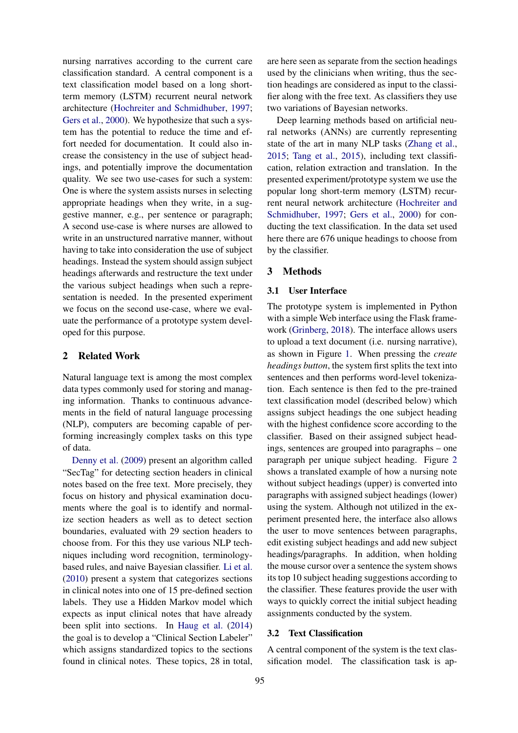nursing narratives according to the current care classification standard. A central component is a text classification model based on a long shortterm memory (LSTM) recurrent neural network architecture [\(Hochreiter and Schmidhuber,](#page-6-5) [1997;](#page-6-5) [Gers et al.,](#page-6-6) [2000\)](#page-6-6). We hypothesize that such a system has the potential to reduce the time and effort needed for documentation. It could also increase the consistency in the use of subject headings, and potentially improve the documentation quality. We see two use-cases for such a system: One is where the system assists nurses in selecting appropriate headings when they write, in a suggestive manner, e.g., per sentence or paragraph; A second use-case is where nurses are allowed to write in an unstructured narrative manner, without having to take into consideration the use of subject headings. Instead the system should assign subject headings afterwards and restructure the text under the various subject headings when such a representation is needed. In the presented experiment we focus on the second use-case, where we evaluate the performance of a prototype system developed for this purpose.

# 2 Related Work

Natural language text is among the most complex data types commonly used for storing and managing information. Thanks to continuous advancements in the field of natural language processing (NLP), computers are becoming capable of performing increasingly complex tasks on this type of data.

[Denny et al.](#page-6-7) [\(2009\)](#page-6-7) present an algorithm called "SecTag" for detecting section headers in clinical notes based on the free text. More precisely, they focus on history and physical examination documents where the goal is to identify and normalize section headers as well as to detect section boundaries, evaluated with 29 section headers to choose from. For this they use various NLP techniques including word recognition, terminologybased rules, and naive Bayesian classifier. [Li et al.](#page-6-8) [\(2010\)](#page-6-8) present a system that categorizes sections in clinical notes into one of 15 pre-defined section labels. They use a Hidden Markov model which expects as input clinical notes that have already been split into sections. In [Haug et al.](#page-6-9) [\(2014\)](#page-6-9) the goal is to develop a "Clinical Section Labeler" which assigns standardized topics to the sections found in clinical notes. These topics, 28 in total,

are here seen as separate from the section headings used by the clinicians when writing, thus the section headings are considered as input to the classifier along with the free text. As classifiers they use two variations of Bayesian networks.

Deep learning methods based on artificial neural networks (ANNs) are currently representing state of the art in many NLP tasks [\(Zhang et al.,](#page-6-10) [2015;](#page-6-10) [Tang et al.,](#page-6-11) [2015\)](#page-6-11), including text classification, relation extraction and translation. In the presented experiment/prototype system we use the popular long short-term memory (LSTM) recurrent neural network architecture [\(Hochreiter and](#page-6-5) [Schmidhuber,](#page-6-5) [1997;](#page-6-5) [Gers et al.,](#page-6-6) [2000\)](#page-6-6) for conducting the text classification. In the data set used here there are 676 unique headings to choose from by the classifier.

# <span id="page-1-0"></span>3 Methods

### 3.1 User Interface

The prototype system is implemented in Python with a simple Web interface using the Flask framework [\(Grinberg,](#page-6-12) [2018\)](#page-6-12). The interface allows users to upload a text document (i.e. nursing narrative), as shown in Figure [1.](#page-2-0) When pressing the *create headings button*, the system first splits the text into sentences and then performs word-level tokenization. Each sentence is then fed to the pre-trained text classification model (described below) which assigns subject headings the one subject heading with the highest confidence score according to the classifier. Based on their assigned subject headings, sentences are grouped into paragraphs – one paragraph per unique subject heading. Figure [2](#page-2-1) shows a translated example of how a nursing note without subject headings (upper) is converted into paragraphs with assigned subject headings (lower) using the system. Although not utilized in the experiment presented here, the interface also allows the user to move sentences between paragraphs, edit existing subject headings and add new subject headings/paragraphs. In addition, when holding the mouse cursor over a sentence the system shows its top 10 subject heading suggestions according to the classifier. These features provide the user with ways to quickly correct the initial subject heading assignments conducted by the system.

### 3.2 Text Classification

A central component of the system is the text classification model. The classification task is ap-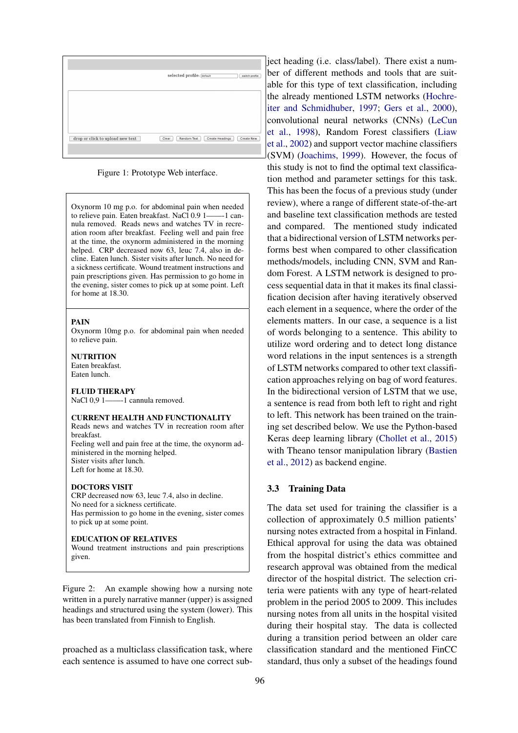

<span id="page-2-0"></span>Figure 1: Prototype Web interface.

Oxynorm 10 mg p.o. for abdominal pain when needed to relieve pain. Eaten breakfast. NaCl 0.9 1——-1 cannula removed. Reads news and watches TV in recreation room after breakfast. Feeling well and pain free at the time, the oxynorm administered in the morning helped. CRP decreased now 63, leuc 7.4, also in decline. Eaten lunch. Sister visits after lunch. No need for a sickness certificate. Wound treatment instructions and pain prescriptions given. Has permission to go home in the evening, sister comes to pick up at some point. Left for home at 18.30.

#### PAIN

Oxynorm 10mg p.o. for abdominal pain when needed to relieve pain.

#### **NUTRITION**

Eaten breakfast. Eaten lunch.

#### FLUID THERAPY

NaCl 0,9 1-----1 cannula removed.

#### CURRENT HEALTH AND FUNCTIONALITY

Reads news and watches TV in recreation room after breakfast. Feeling well and pain free at the time, the oxynorm administered in the morning helped.

Sister visits after lunch. Left for home at 18.30.

#### DOCTORS VISIT

CRP decreased now 63, leuc 7.4, also in decline. No need for a sickness certificate. Has permission to go home in the evening, sister comes to pick up at some point.

#### EDUCATION OF RELATIVES

Wound treatment instructions and pain prescriptions given.

<span id="page-2-1"></span>Figure 2: An example showing how a nursing note written in a purely narrative manner (upper) is assigned headings and structured using the system (lower). This has been translated from Finnish to English.

proached as a multiclass classification task, where each sentence is assumed to have one correct sub-

ject heading (i.e. class/label). There exist a number of different methods and tools that are suitable for this type of text classification, including the already mentioned LSTM networks [\(Hochre](#page-6-5)[iter and Schmidhuber,](#page-6-5) [1997;](#page-6-5) [Gers et al.,](#page-6-6) [2000\)](#page-6-6), convolutional neural networks (CNNs) [\(LeCun](#page-6-13) [et al.,](#page-6-13) [1998\)](#page-6-13), Random Forest classifiers [\(Liaw](#page-6-14) [et al.,](#page-6-14) [2002\)](#page-6-14) and support vector machine classifiers (SVM) [\(Joachims,](#page-6-15) [1999\)](#page-6-15). However, the focus of this study is not to find the optimal text classification method and parameter settings for this task. This has been the focus of a previous study (under review), where a range of different state-of-the-art and baseline text classification methods are tested and compared. The mentioned study indicated that a bidirectional version of LSTM networks performs best when compared to other classification methods/models, including CNN, SVM and Random Forest. A LSTM network is designed to process sequential data in that it makes its final classification decision after having iteratively observed each element in a sequence, where the order of the elements matters. In our case, a sequence is a list of words belonging to a sentence. This ability to utilize word ordering and to detect long distance word relations in the input sentences is a strength of LSTM networks compared to other text classification approaches relying on bag of word features. In the bidirectional version of LSTM that we use, a sentence is read from both left to right and right to left. This network has been trained on the training set described below. We use the Python-based Keras deep learning library [\(Chollet et al.,](#page-5-0) [2015\)](#page-5-0) with Theano tensor manipulation library [\(Bastien](#page-5-1) [et al.,](#page-5-1) [2012\)](#page-5-1) as backend engine.

#### 3.3 Training Data

The data set used for training the classifier is a collection of approximately 0.5 million patients' nursing notes extracted from a hospital in Finland. Ethical approval for using the data was obtained from the hospital district's ethics committee and research approval was obtained from the medical director of the hospital district. The selection criteria were patients with any type of heart-related problem in the period 2005 to 2009. This includes nursing notes from all units in the hospital visited during their hospital stay. The data is collected during a transition period between an older care classification standard and the mentioned FinCC standard, thus only a subset of the headings found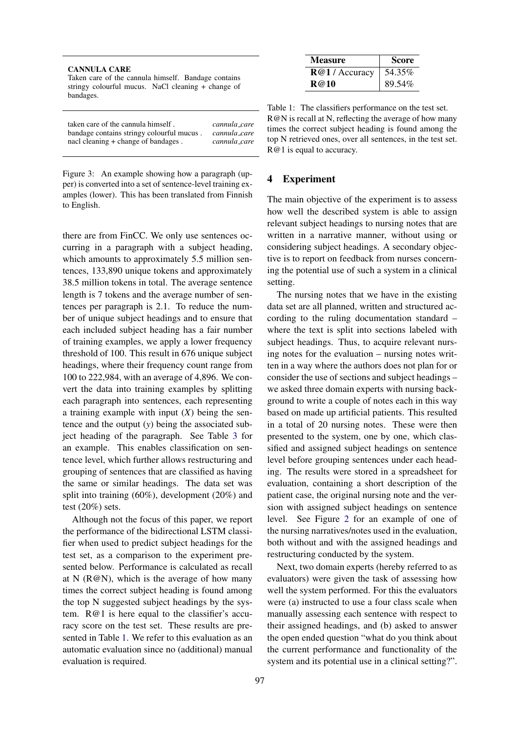| <b>CANNULA CARE</b>                                             |
|-----------------------------------------------------------------|
| Taken care of the cannula himself. Bandage contains             |
| stringy colourful mucus. NaCl cleaning + change of<br>bandages. |
|                                                                 |

| taken care of the cannula himself.        | cannula_care |
|-------------------------------------------|--------------|
| bandage contains stringy colourful mucus. | cannula_care |
| nacl cleaning + change of bandages.       | cannula_care |

<span id="page-3-0"></span>Figure 3: An example showing how a paragraph (upper) is converted into a set of sentence-level training examples (lower). This has been translated from Finnish to English.

there are from FinCC. We only use sentences occurring in a paragraph with a subject heading, which amounts to approximately 5.5 million sentences, 133,890 unique tokens and approximately 38.5 million tokens in total. The average sentence length is 7 tokens and the average number of sentences per paragraph is 2.1. To reduce the number of unique subject headings and to ensure that each included subject heading has a fair number of training examples, we apply a lower frequency threshold of 100. This result in 676 unique subject headings, where their frequency count range from 100 to 222,984, with an average of 4,896. We convert the data into training examples by splitting each paragraph into sentences, each representing a training example with input (*X*) being the sentence and the output (*y*) being the associated subject heading of the paragraph. See Table [3](#page-3-0) for an example. This enables classification on sentence level, which further allows restructuring and grouping of sentences that are classified as having the same or similar headings. The data set was split into training (60%), development (20%) and test (20%) sets.

Although not the focus of this paper, we report the performance of the bidirectional LSTM classifier when used to predict subject headings for the test set, as a comparison to the experiment presented below. Performance is calculated as recall at N ( $R@N$ ), which is the average of how many times the correct subject heading is found among the top N suggested subject headings by the system. R@1 is here equal to the classifier's accuracy score on the test set. These results are presented in Table [1.](#page-3-1) We refer to this evaluation as an automatic evaluation since no (additional) manual evaluation is required.

| <b>Measure</b> | <b>Score</b> |
|----------------|--------------|
| R@1/Accuracy   | 54.35%       |
| R@10           | 89.54%       |

<span id="page-3-1"></span>Table 1: The classifiers performance on the test set. R@N is recall at N, reflecting the average of how many times the correct subject heading is found among the top N retrieved ones, over all sentences, in the test set. R@1 is equal to accuracy.

## 4 Experiment

The main objective of the experiment is to assess how well the described system is able to assign relevant subject headings to nursing notes that are written in a narrative manner, without using or considering subject headings. A secondary objective is to report on feedback from nurses concerning the potential use of such a system in a clinical setting.

The nursing notes that we have in the existing data set are all planned, written and structured according to the ruling documentation standard – where the text is split into sections labeled with subject headings. Thus, to acquire relevant nursing notes for the evaluation – nursing notes written in a way where the authors does not plan for or consider the use of sections and subject headings – we asked three domain experts with nursing background to write a couple of notes each in this way based on made up artificial patients. This resulted in a total of 20 nursing notes. These were then presented to the system, one by one, which classified and assigned subject headings on sentence level before grouping sentences under each heading. The results were stored in a spreadsheet for evaluation, containing a short description of the patient case, the original nursing note and the version with assigned subject headings on sentence level. See Figure [2](#page-2-1) for an example of one of the nursing narratives/notes used in the evaluation, both without and with the assigned headings and restructuring conducted by the system.

Next, two domain experts (hereby referred to as evaluators) were given the task of assessing how well the system performed. For this the evaluators were (a) instructed to use a four class scale when manually assessing each sentence with respect to their assigned headings, and (b) asked to answer the open ended question "what do you think about the current performance and functionality of the system and its potential use in a clinical setting?".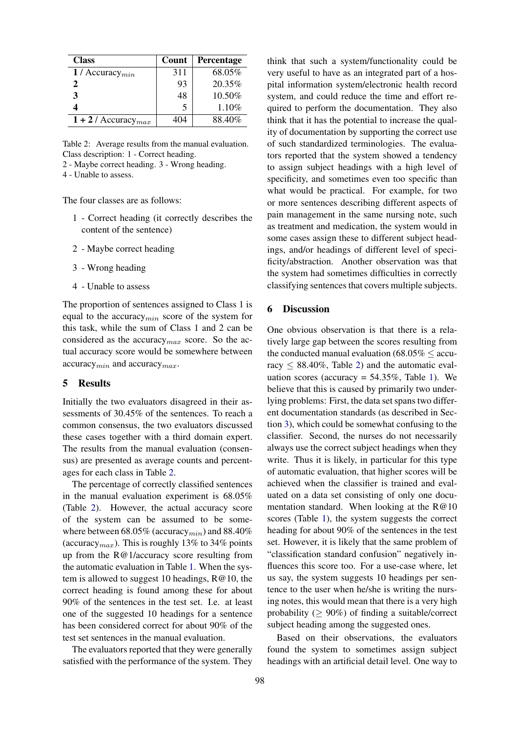| <b>Class</b>                      | Count | Percentage |
|-----------------------------------|-------|------------|
| 1 / Accuracy $_{min}$             | 311   | 68.05%     |
| 2                                 | 93    | 20.35%     |
|                                   | 48    | $10.50\%$  |
|                                   | 5     | 1.10%      |
| $1 + 2$ / Accuracy <sub>max</sub> | 404   | 88.40%     |

<span id="page-4-0"></span>Table 2: Average results from the manual evaluation. Class description: 1 - Correct heading.

2 - Maybe correct heading. 3 - Wrong heading.

4 - Unable to assess.

The four classes are as follows:

- 1 Correct heading (it correctly describes the content of the sentence)
- 2 Maybe correct heading
- 3 Wrong heading
- 4 Unable to assess

The proportion of sentences assigned to Class 1 is equal to the accuracy $_{min}$  score of the system for this task, while the sum of Class 1 and 2 can be considered as the accuracy  $_{max}$  score. So the actual accuracy score would be somewhere between  $accuracy_{min}$  and  $accuracy_{max}$ .

# 5 Results

Initially the two evaluators disagreed in their assessments of 30.45% of the sentences. To reach a common consensus, the two evaluators discussed these cases together with a third domain expert. The results from the manual evaluation (consensus) are presented as average counts and percentages for each class in Table [2.](#page-4-0)

The percentage of correctly classified sentences in the manual evaluation experiment is 68.05% (Table [2\)](#page-4-0). However, the actual accuracy score of the system can be assumed to be somewhere between 68.05% (accuracy<sub>min</sub>) and 88.40% (accuracy<sub>max</sub>). This is roughly 13% to 34% points up from the R@1/accuracy score resulting from the automatic evaluation in Table [1.](#page-3-1) When the system is allowed to suggest 10 headings, R@10, the correct heading is found among these for about 90% of the sentences in the test set. I.e. at least one of the suggested 10 headings for a sentence has been considered correct for about 90% of the test set sentences in the manual evaluation.

The evaluators reported that they were generally satisfied with the performance of the system. They think that such a system/functionality could be very useful to have as an integrated part of a hospital information system/electronic health record system, and could reduce the time and effort required to perform the documentation. They also think that it has the potential to increase the quality of documentation by supporting the correct use of such standardized terminologies. The evaluators reported that the system showed a tendency to assign subject headings with a high level of specificity, and sometimes even too specific than what would be practical. For example, for two or more sentences describing different aspects of pain management in the same nursing note, such as treatment and medication, the system would in some cases assign these to different subject headings, and/or headings of different level of specificity/abstraction. Another observation was that the system had sometimes difficulties in correctly classifying sentences that covers multiple subjects.

# 6 Discussion

One obvious observation is that there is a relatively large gap between the scores resulting from the conducted manual evaluation ( $68.05\%$   $\leq$  accuracy  $\leq 88.40\%$ , Table [2\)](#page-4-0) and the automatic evaluation scores (accuracy  $= 54.35\%$ , Table [1\)](#page-3-1). We believe that this is caused by primarily two underlying problems: First, the data set spans two different documentation standards (as described in Section [3\)](#page-1-0), which could be somewhat confusing to the classifier. Second, the nurses do not necessarily always use the correct subject headings when they write. Thus it is likely, in particular for this type of automatic evaluation, that higher scores will be achieved when the classifier is trained and evaluated on a data set consisting of only one documentation standard. When looking at the R@10 scores (Table [1\)](#page-3-1), the system suggests the correct heading for about 90% of the sentences in the test set. However, it is likely that the same problem of "classification standard confusion" negatively influences this score too. For a use-case where, let us say, the system suggests 10 headings per sentence to the user when he/she is writing the nursing notes, this would mean that there is a very high probability ( $\geq 90\%$ ) of finding a suitable/correct subject heading among the suggested ones.

Based on their observations, the evaluators found the system to sometimes assign subject headings with an artificial detail level. One way to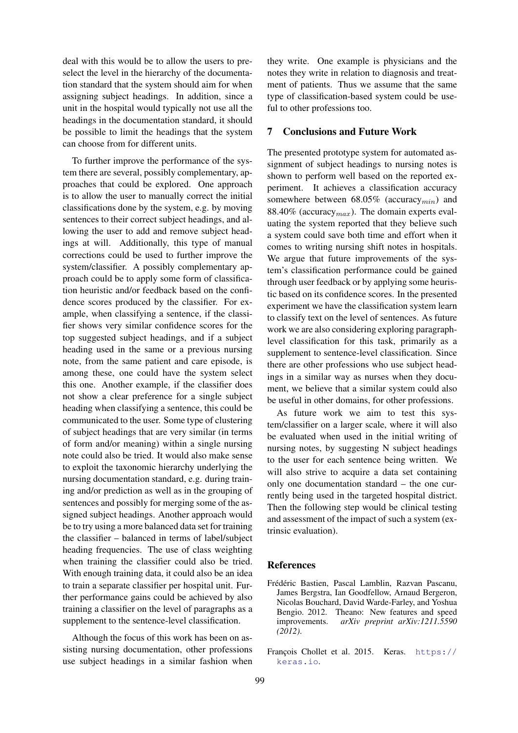deal with this would be to allow the users to preselect the level in the hierarchy of the documentation standard that the system should aim for when assigning subject headings. In addition, since a unit in the hospital would typically not use all the headings in the documentation standard, it should be possible to limit the headings that the system can choose from for different units.

To further improve the performance of the system there are several, possibly complementary, approaches that could be explored. One approach is to allow the user to manually correct the initial classifications done by the system, e.g. by moving sentences to their correct subject headings, and allowing the user to add and remove subject headings at will. Additionally, this type of manual corrections could be used to further improve the system/classifier. A possibly complementary approach could be to apply some form of classification heuristic and/or feedback based on the confidence scores produced by the classifier. For example, when classifying a sentence, if the classifier shows very similar confidence scores for the top suggested subject headings, and if a subject heading used in the same or a previous nursing note, from the same patient and care episode, is among these, one could have the system select this one. Another example, if the classifier does not show a clear preference for a single subject heading when classifying a sentence, this could be communicated to the user. Some type of clustering of subject headings that are very similar (in terms of form and/or meaning) within a single nursing note could also be tried. It would also make sense to exploit the taxonomic hierarchy underlying the nursing documentation standard, e.g. during training and/or prediction as well as in the grouping of sentences and possibly for merging some of the assigned subject headings. Another approach would be to try using a more balanced data set for training the classifier – balanced in terms of label/subject heading frequencies. The use of class weighting when training the classifier could also be tried. With enough training data, it could also be an idea to train a separate classifier per hospital unit. Further performance gains could be achieved by also training a classifier on the level of paragraphs as a supplement to the sentence-level classification.

Although the focus of this work has been on assisting nursing documentation, other professions use subject headings in a similar fashion when

they write. One example is physicians and the notes they write in relation to diagnosis and treatment of patients. Thus we assume that the same type of classification-based system could be useful to other professions too.

# 7 Conclusions and Future Work

The presented prototype system for automated assignment of subject headings to nursing notes is shown to perform well based on the reported experiment. It achieves a classification accuracy somewhere between  $68.05\%$  (accuracy<sub>min</sub>) and 88.40% (accuracy  $_{max}$ ). The domain experts evaluating the system reported that they believe such a system could save both time and effort when it comes to writing nursing shift notes in hospitals. We argue that future improvements of the system's classification performance could be gained through user feedback or by applying some heuristic based on its confidence scores. In the presented experiment we have the classification system learn to classify text on the level of sentences. As future work we are also considering exploring paragraphlevel classification for this task, primarily as a supplement to sentence-level classification. Since there are other professions who use subject headings in a similar way as nurses when they document, we believe that a similar system could also be useful in other domains, for other professions.

As future work we aim to test this system/classifier on a larger scale, where it will also be evaluated when used in the initial writing of nursing notes, by suggesting N subject headings to the user for each sentence being written. We will also strive to acquire a data set containing only one documentation standard – the one currently being used in the targeted hospital district. Then the following step would be clinical testing and assessment of the impact of such a system (extrinsic evaluation).

### References

<span id="page-5-1"></span>Frédéric Bastien, Pascal Lamblin, Razvan Pascanu, James Bergstra, Ian Goodfellow, Arnaud Bergeron, Nicolas Bouchard, David Warde-Farley, and Yoshua Bengio. 2012. Theano: New features and speed improvements. *arXiv preprint arXiv:1211.5590 (2012)*.

<span id="page-5-0"></span>François Chollet et al. 2015. Keras. [https://](https://keras.io) [keras.io](https://keras.io).